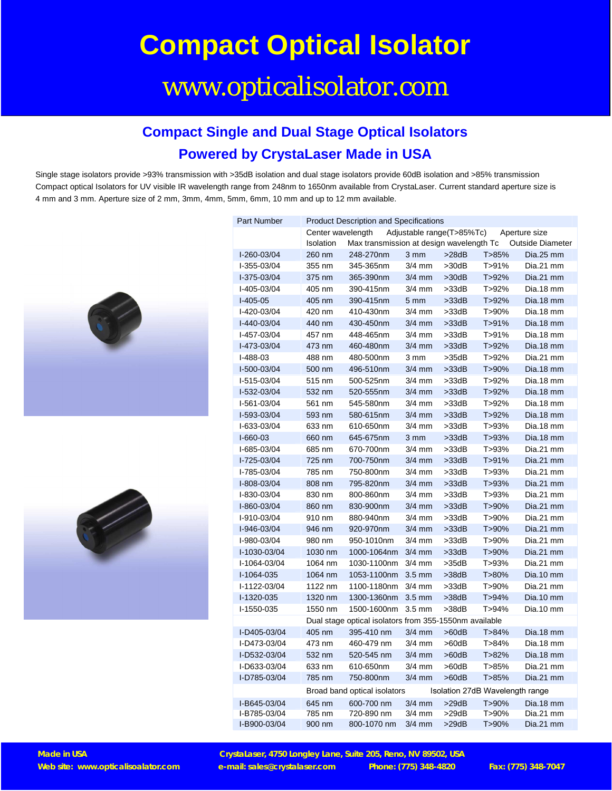# **Compact Optical Isolator**

## www.opticalisolator.com

#### **Compact Single and Dual Stage Optical Isolators Powered by CrystaLaser Made in USA**

Single stage isolators provide >93% transmission with >35dB isolation and dual stage isolators provide 60dB isolation and >85% transmission Compact optical Isolators for UV visible IR wavelength range from 248nm to 1650nm available from CrystaLaser. Current standard aperture size is 4 mm and 3 mm. Aperture size of 2 mm, 3mm, 4mm, 5mm, 6mm, 10 mm and up to 12 mm available.





| <b>Part Number</b>                                     | <b>Product Description and Specifications</b>                   |                                          |                  |             |         |                         |
|--------------------------------------------------------|-----------------------------------------------------------------|------------------------------------------|------------------|-------------|---------|-------------------------|
|                                                        | Center wavelength<br>Adjustable range(T>85%Tc)<br>Aperture size |                                          |                  |             |         |                         |
|                                                        | Isolation                                                       | Max transmission at design wavelength Tc |                  |             |         | <b>Outside Diameter</b> |
| I-260-03/04                                            | 260 nm                                                          | 248-270nm                                | 3 mm             | >28dB       | T > 85% | Dia.25 mm               |
| I-355-03/04                                            | 355 nm                                                          | 345-365nm                                | $3/4$ mm         | >30dB       | T>91%   | Dia.21 mm               |
| I-375-03/04                                            | 375 nm                                                          | 365-390nm                                | $3/4$ mm         | >30dB       | T>92%   | Dia.21 mm               |
| I-405-03/04                                            | 405 nm                                                          | 390-415nm                                | $3/4$ mm         | $>33$ d $B$ | T>92%   | Dia.18 mm               |
| $I-405-05$                                             | 405 nm                                                          | 390-415nm                                | 5 <sub>mm</sub>  | $>33$ dB    | T>92%   | Dia.18 mm               |
| I-420-03/04                                            | 420 nm                                                          | 410-430nm                                | $3/4$ mm         | $>33$ d $B$ | T>90%   | Dia.18 mm               |
| I-440-03/04                                            | 440 nm                                                          | 430-450nm                                | $3/4$ mm         | $>33$ dB    | T>91%   | Dia.18 mm               |
| I-457-03/04                                            | 457 nm                                                          | 448-465nm                                | $3/4$ mm         | >33dB       | T>91%   | Dia.18 mm               |
| I-473-03/04                                            | 473 nm                                                          | 460-480nm                                | $3/4$ mm         | $>33$ dB    | T>92%   | Dia.18 mm               |
| $I-488-03$                                             | 488 nm                                                          | 480-500nm                                | 3 mm             | >35dB       | T>92%   | Dia.21 mm               |
| I-500-03/04                                            | 500 nm                                                          | 496-510nm                                | $3/4$ mm         | $>33$ dB    | T>90%   | Dia.18 mm               |
| I-515-03/04                                            | 515 nm                                                          | 500-525nm                                | $3/4$ mm         | $>33$ d $B$ | T>92%   | Dia.18 mm               |
| I-532-03/04                                            | 532 nm                                                          | 520-555nm                                | $3/4$ mm         | $>33$ dB    | T>92%   | Dia.18 mm               |
| I-561-03/04                                            | 561 nm                                                          | 545-580nm                                | $3/4$ mm         | $>33$ d $B$ | T>92%   | Dia.18 mm               |
| I-593-03/04                                            | 593 nm                                                          | 580-615nm                                | $3/4$ mm         | $>33$ dB    | T>92%   | Dia.18 mm               |
| I-633-03/04                                            | 633 nm                                                          | 610-650nm                                | $3/4$ mm         | $>33$ d $B$ | T>93%   | Dia.18 mm               |
| $I-660-03$                                             | 660 nm                                                          | 645-675nm                                | $3 \, \text{mm}$ | $>33$ d $B$ | T>93%   | Dia.18 mm               |
| I-685-03/04                                            | 685 nm                                                          | 670-700nm                                | $3/4$ mm         | $>33$ d $B$ | T>93%   | Dia.21 mm               |
| I-725-03/04                                            | 725 nm                                                          | 700-750nm                                | $3/4$ mm         | $>33$ d $B$ | T>91%   | Dia.21 mm               |
| I-785-03/04                                            | 785 nm                                                          | 750-800nm                                | $3/4$ mm         | $>33$ d $B$ | T>93%   | Dia.21 mm               |
| I-808-03/04                                            | 808 nm                                                          | 795-820nm                                | $3/4$ mm         | $>33$ d $B$ | T>93%   | Dia.21 mm               |
| I-830-03/04                                            | 830 nm                                                          | 800-860nm                                | $3/4$ mm         | $>33$ d $B$ | T>93%   | Dia.21 mm               |
| I-860-03/04                                            | 860 nm                                                          | 830-900nm                                | $3/4$ mm         | >33dB       | T>90%   | Dia.21 mm               |
| I-910-03/04                                            | 910 nm                                                          | 880-940nm                                | $3/4$ mm         | $>33$ d $B$ | T>90%   | Dia.21 mm               |
| I-946-03/04                                            | 946 nm                                                          | 920-970nm                                | $3/4$ mm         | $>33$ dB    | T>90%   | Dia.21 mm               |
| I-980-03/04                                            | 980 nm                                                          | 950-1010nm                               | $3/4$ mm         | $>33$ d $B$ | T>90%   | Dia.21 mm               |
| I-1030-03/04                                           | 1030 nm                                                         | 1000-1064nm                              | $3/4$ mm         | >33dB       | T>90%   | Dia.21 mm               |
| I-1064-03/04                                           | 1064 nm                                                         | 1030-1100nm                              | $3/4$ mm         | >35dB       | T>93%   | Dia.21 mm               |
| I-1064-035                                             | 1064 nm                                                         | 1053-1100nm                              | $3.5 \text{ mm}$ | >38dB       | T>80%   | Dia.10 mm               |
| I-1122-03/04                                           | 1122 nm                                                         | 1100-1180nm                              | $3/4$ mm         | $>33$ d $B$ | T>90%   | Dia.21 mm               |
| I-1320-035                                             | 1320 nm                                                         | 1300-1360nm                              | $3.5 \text{ mm}$ | >38dB       | T>94%   | Dia.10 mm               |
| I-1550-035                                             | 1550 nm                                                         | 1500-1600nm                              | $3.5 \text{ mm}$ | >38dB       | T>94%   | Dia.10 mm               |
| Dual stage optical isolators from 355-1550nm available |                                                                 |                                          |                  |             |         |                         |
| I-D405-03/04                                           | 405 nm                                                          | 395-410 nm                               | $3/4$ mm         | >60dB       | T>84%   | Dia.18 mm               |
| I-D473-03/04                                           | 473 nm                                                          | 460-479 nm                               | $3/4$ mm         | $>60$ d $B$ | T>84%   | Dia.18 mm               |
| I-D532-03/04                                           | 532 nm                                                          | 520-545 nm                               | $3/4$ mm         | >60dB       | T>82%   | Dia.18 mm               |
| I-D633-03/04                                           | 633 nm                                                          | 610-650nm                                | $3/4$ mm         | $>60$ d $B$ | T>85%   | Dia.21 mm               |
| I-D785-03/04                                           | 785 nm                                                          | 750-800nm                                | $3/4$ mm         | >60dB       | T > 85% | Dia.21 mm               |
|                                                        | Isolation 27dB Wavelength range<br>Broad band optical isolators |                                          |                  |             |         |                         |
| I-B645-03/04                                           | 645 nm                                                          | 600-700 nm                               | $3/4$ mm         | >29dB       | T>90%   | Dia.18 mm               |
| I-B785-03/04                                           | 785 nm                                                          | 720-890 nm                               | $3/4$ mm         | >29dB       | T>90%   | Dia.21 mm               |
| I-B900-03/04                                           | 900 nm                                                          | 800-1070 nm                              | $3/4$ mm         | >29dB       | T>90%   | Dia.21 mm               |

**Made in USA CrystaLaser, 4750 Longley Lane, Suite 205, Reno, NV 89502, USA Web site: www.opticalisoalator.com e-mail: sales@crystalaser.com Phone: (775) 348-4820 Fax: (775) 348-7047**